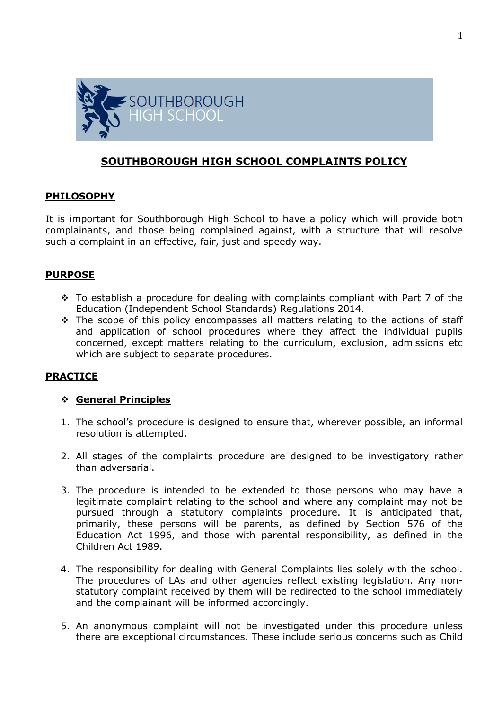

## **SOUTHBOROUGH HIGH SCHOOL COMPLAINTS POLICY**

### **PHILOSOPHY**

It is important for Southborough High School to have a policy which will provide both complainants, and those being complained against, with a structure that will resolve such a complaint in an effective, fair, just and speedy way.

### **PURPOSE**

- \* To establish a procedure for dealing with complaints compliant with Part 7 of the Education (Independent School Standards) Regulations 2014.
- \* The scope of this policy encompasses all matters relating to the actions of staff and application of school procedures where they affect the individual pupils concerned, except matters relating to the curriculum, exclusion, admissions etc which are subject to separate procedures.

### **PRACTICE**

#### **General Principles**

- 1. The school's procedure is designed to ensure that, wherever possible, an informal resolution is attempted.
- 2. All stages of the complaints procedure are designed to be investigatory rather than adversarial.
- 3. The procedure is intended to be extended to those persons who may have a legitimate complaint relating to the school and where any complaint may not be pursued through a statutory complaints procedure. It is anticipated that, primarily, these persons will be parents, as defined by Section 576 of the Education Act 1996, and those with parental responsibility, as defined in the Children Act 1989.
- 4. The responsibility for dealing with General Complaints lies solely with the school. The procedures of LAs and other agencies reflect existing legislation. Any nonstatutory complaint received by them will be redirected to the school immediately and the complainant will be informed accordingly.
- 5. An anonymous complaint will not be investigated under this procedure unless there are exceptional circumstances. These include serious concerns such as Child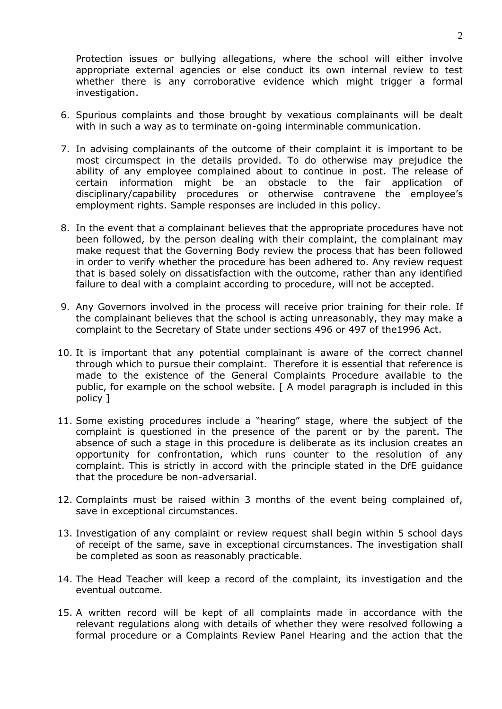Protection issues or bullying allegations, where the school will either involve appropriate external agencies or else conduct its own internal review to test whether there is any corroborative evidence which might trigger a formal investigation.

- 6. Spurious complaints and those brought by vexatious complainants will be dealt with in such a way as to terminate on-going interminable communication.
- 7. In advising complainants of the outcome of their complaint it is important to be most circumspect in the details provided. To do otherwise may prejudice the ability of any employee complained about to continue in post. The release of certain information might be an obstacle to the fair application of disciplinary/capability procedures or otherwise contravene the employee's employment rights. Sample responses are included in this policy.
- 8. In the event that a complainant believes that the appropriate procedures have not been followed, by the person dealing with their complaint, the complainant may make request that the Governing Body review the process that has been followed in order to verify whether the procedure has been adhered to. Any review request that is based solely on dissatisfaction with the outcome, rather than any identified failure to deal with a complaint according to procedure, will not be accepted.
- 9. Any Governors involved in the process will receive prior training for their role. If the complainant believes that the school is acting unreasonably, they may make a complaint to the Secretary of State under sections 496 or 497 of the1996 Act.
- 10. It is important that any potential complainant is aware of the correct channel through which to pursue their complaint. Therefore it is essential that reference is made to the existence of the General Complaints Procedure available to the public, for example on the school website. [ A model paragraph is included in this policy ]
- 11. Some existing procedures include a "hearing" stage, where the subject of the complaint is questioned in the presence of the parent or by the parent. The absence of such a stage in this procedure is deliberate as its inclusion creates an opportunity for confrontation, which runs counter to the resolution of any complaint. This is strictly in accord with the principle stated in the DfE guidance that the procedure be non-adversarial.
- 12. Complaints must be raised within 3 months of the event being complained of, save in exceptional circumstances.
- 13. Investigation of any complaint or review request shall begin within 5 school days of receipt of the same, save in exceptional circumstances. The investigation shall be completed as soon as reasonably practicable.
- 14. The Head Teacher will keep a record of the complaint, its investigation and the eventual outcome.
- 15. A written record will be kept of all complaints made in accordance with the relevant regulations along with details of whether they were resolved following a formal procedure or a Complaints Review Panel Hearing and the action that the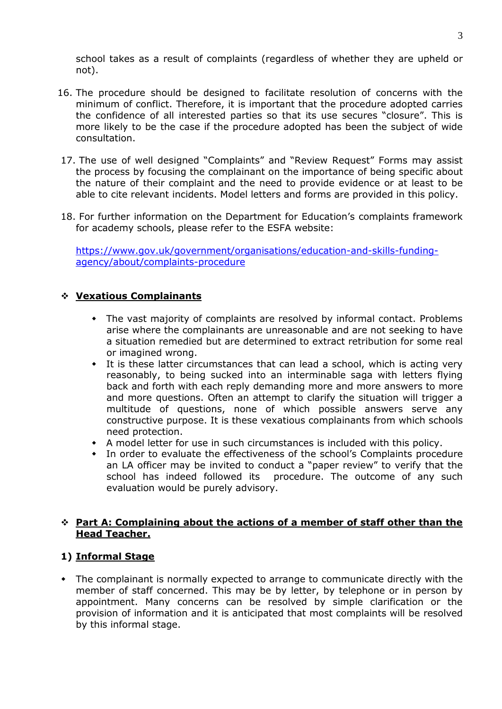school takes as a result of complaints (regardless of whether they are upheld or not).

- 16. The procedure should be designed to facilitate resolution of concerns with the minimum of conflict. Therefore, it is important that the procedure adopted carries the confidence of all interested parties so that its use secures "closure". This is more likely to be the case if the procedure adopted has been the subject of wide consultation.
- 17. The use of well designed "Complaints" and "Review Request" Forms may assist the process by focusing the complainant on the importance of being specific about the nature of their complaint and the need to provide evidence or at least to be able to cite relevant incidents. Model letters and forms are provided in this policy.
- 18. For further information on the Department for Education's complaints framework for academy schools, please refer to the ESFA website:

[https://www.gov.uk/government/organisations/education-and-skills-funding](https://www.gov.uk/government/organisations/education-and-skills-funding-agency/about/complaints-procedure)[agency/about/complaints-procedure](https://www.gov.uk/government/organisations/education-and-skills-funding-agency/about/complaints-procedure)

### **Vexatious Complainants**

- The vast majority of complaints are resolved by informal contact. Problems arise where the complainants are unreasonable and are not seeking to have a situation remedied but are determined to extract retribution for some real or imagined wrong.
- It is these latter circumstances that can lead a school, which is acting very reasonably, to being sucked into an interminable saga with letters flying back and forth with each reply demanding more and more answers to more and more questions. Often an attempt to clarify the situation will trigger a multitude of questions, none of which possible answers serve any constructive purpose. It is these vexatious complainants from which schools need protection.
- A model letter for use in such circumstances is included with this policy.
- In order to evaluate the effectiveness of the school's Complaints procedure an LA officer may be invited to conduct a "paper review" to verify that the school has indeed followed its procedure. The outcome of any such evaluation would be purely advisory.

#### **Part A: Complaining about the actions of a member of staff other than the Head Teacher.**

### **1) Informal Stage**

 The complainant is normally expected to arrange to communicate directly with the member of staff concerned. This may be by letter, by telephone or in person by appointment. Many concerns can be resolved by simple clarification or the provision of information and it is anticipated that most complaints will be resolved by this informal stage.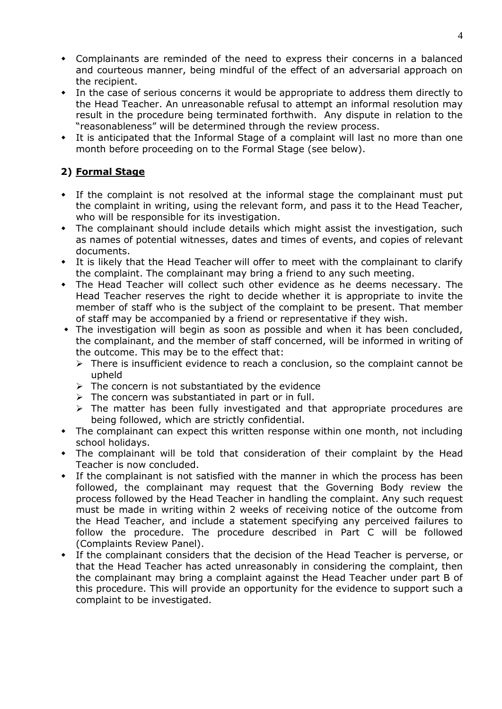- Complainants are reminded of the need to express their concerns in a balanced and courteous manner, being mindful of the effect of an adversarial approach on the recipient.
- In the case of serious concerns it would be appropriate to address them directly to the Head Teacher. An unreasonable refusal to attempt an informal resolution may result in the procedure being terminated forthwith. Any dispute in relation to the "reasonableness" will be determined through the review process.
- It is anticipated that the Informal Stage of a complaint will last no more than one month before proceeding on to the Formal Stage (see below).

# **2) Formal Stage**

- If the complaint is not resolved at the informal stage the complainant must put the complaint in writing, using the relevant form, and pass it to the Head Teacher, who will be responsible for its investigation.
- The complainant should include details which might assist the investigation, such as names of potential witnesses, dates and times of events, and copies of relevant documents.
- It is likely that the Head Teacher will offer to meet with the complainant to clarify the complaint. The complainant may bring a friend to any such meeting.
- The Head Teacher will collect such other evidence as he deems necessary. The Head Teacher reserves the right to decide whether it is appropriate to invite the member of staff who is the subject of the complaint to be present. That member of staff may be accompanied by a friend or representative if they wish.
- The investigation will begin as soon as possible and when it has been concluded, the complainant, and the member of staff concerned, will be informed in writing of the outcome. This may be to the effect that:
	- $\triangleright$  There is insufficient evidence to reach a conclusion, so the complaint cannot be upheld
	- $\triangleright$  The concern is not substantiated by the evidence
	- $\triangleright$  The concern was substantiated in part or in full.
	- $\triangleright$  The matter has been fully investigated and that appropriate procedures are being followed, which are strictly confidential.
- The complainant can expect this written response within one month, not including school holidays.
- The complainant will be told that consideration of their complaint by the Head Teacher is now concluded.
- If the complainant is not satisfied with the manner in which the process has been followed, the complainant may request that the Governing Body review the process followed by the Head Teacher in handling the complaint. Any such request must be made in writing within 2 weeks of receiving notice of the outcome from the Head Teacher, and include a statement specifying any perceived failures to follow the procedure. The procedure described in Part C will be followed (Complaints Review Panel).
- If the complainant considers that the decision of the Head Teacher is perverse, or that the Head Teacher has acted unreasonably in considering the complaint, then the complainant may bring a complaint against the Head Teacher under part B of this procedure. This will provide an opportunity for the evidence to support such a complaint to be investigated.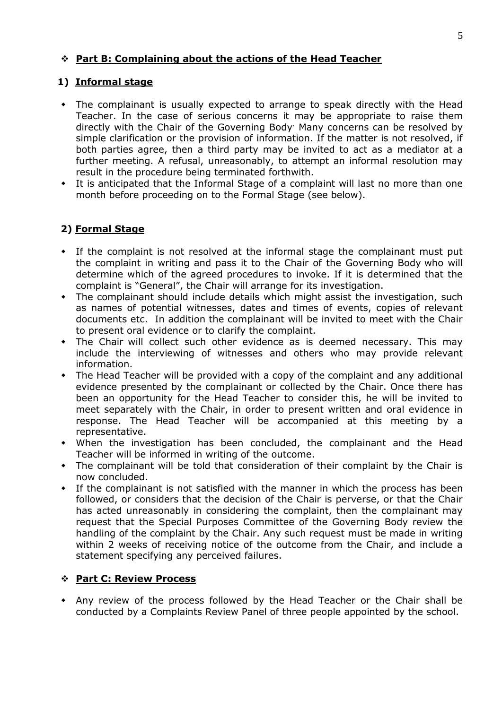## **Part B: Complaining about the actions of the Head Teacher**

## **1) Informal stage**

- The complainant is usually expected to arrange to speak directly with the Head Teacher. In the case of serious concerns it may be appropriate to raise them directly with the Chair of the Governing Body<sup>.</sup> Many concerns can be resolved by simple clarification or the provision of information. If the matter is not resolved, if both parties agree, then a third party may be invited to act as a mediator at a further meeting. A refusal, unreasonably, to attempt an informal resolution may result in the procedure being terminated forthwith.
- It is anticipated that the Informal Stage of a complaint will last no more than one month before proceeding on to the Formal Stage (see below).

# **2) Formal Stage**

- If the complaint is not resolved at the informal stage the complainant must put the complaint in writing and pass it to the Chair of the Governing Body who will determine which of the agreed procedures to invoke. If it is determined that the complaint is "General", the Chair will arrange for its investigation.
- The complainant should include details which might assist the investigation, such as names of potential witnesses, dates and times of events, copies of relevant documents etc. In addition the complainant will be invited to meet with the Chair to present oral evidence or to clarify the complaint.
- The Chair will collect such other evidence as is deemed necessary. This may include the interviewing of witnesses and others who may provide relevant information.
- The Head Teacher will be provided with a copy of the complaint and any additional evidence presented by the complainant or collected by the Chair. Once there has been an opportunity for the Head Teacher to consider this, he will be invited to meet separately with the Chair, in order to present written and oral evidence in response. The Head Teacher will be accompanied at this meeting by a representative.
- When the investigation has been concluded, the complainant and the Head Teacher will be informed in writing of the outcome.
- The complainant will be told that consideration of their complaint by the Chair is now concluded.
- If the complainant is not satisfied with the manner in which the process has been followed, or considers that the decision of the Chair is perverse, or that the Chair has acted unreasonably in considering the complaint, then the complainant may request that the Special Purposes Committee of the Governing Body review the handling of the complaint by the Chair. Any such request must be made in writing within 2 weeks of receiving notice of the outcome from the Chair, and include a statement specifying any perceived failures.

### **Part C: Review Process**

 Any review of the process followed by the Head Teacher or the Chair shall be conducted by a Complaints Review Panel of three people appointed by the school.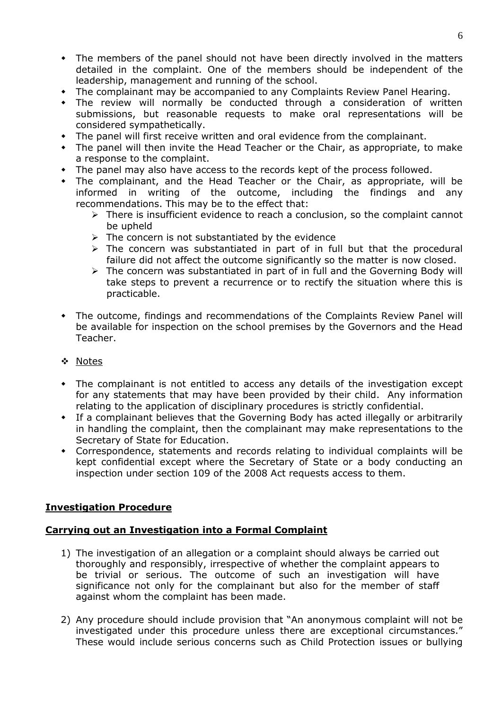- The members of the panel should not have been directly involved in the matters detailed in the complaint. One of the members should be independent of the leadership, management and running of the school.
- The complainant may be accompanied to any Complaints Review Panel Hearing.
- The review will normally be conducted through a consideration of written submissions, but reasonable requests to make oral representations will be considered sympathetically.
- The panel will first receive written and oral evidence from the complainant.
- The panel will then invite the Head Teacher or the Chair, as appropriate, to make a response to the complaint.
- The panel may also have access to the records kept of the process followed.
- The complainant, and the Head Teacher or the Chair, as appropriate, will be informed in writing of the outcome, including the findings and any recommendations. This may be to the effect that:
	- > There is insufficient evidence to reach a conclusion, so the complaint cannot be upheld
	- $\triangleright$  The concern is not substantiated by the evidence
	- $\triangleright$  The concern was substantiated in part of in full but that the procedural failure did not affect the outcome significantly so the matter is now closed.
	- $\triangleright$  The concern was substantiated in part of in full and the Governing Body will take steps to prevent a recurrence or to rectify the situation where this is practicable.
- The outcome, findings and recommendations of the Complaints Review Panel will be available for inspection on the school premises by the Governors and the Head Teacher.
- ❖ Notes
- The complainant is not entitled to access any details of the investigation except for any statements that may have been provided by their child. Any information relating to the application of disciplinary procedures is strictly confidential.
- If a complainant believes that the Governing Body has acted illegally or arbitrarily in handling the complaint, then the complainant may make representations to the Secretary of State for Education.
- Correspondence, statements and records relating to individual complaints will be kept confidential except where the Secretary of State or a body conducting an inspection under section 109 of the 2008 Act requests access to them.

### **Investigation Procedure**

### **Carrying out an Investigation into a Formal Complaint**

- 1) The investigation of an allegation or a complaint should always be carried out thoroughly and responsibly, irrespective of whether the complaint appears to be trivial or serious. The outcome of such an investigation will have significance not only for the complainant but also for the member of staff against whom the complaint has been made.
- 2) Any procedure should include provision that "An anonymous complaint will not be investigated under this procedure unless there are exceptional circumstances." These would include serious concerns such as Child Protection issues or bullying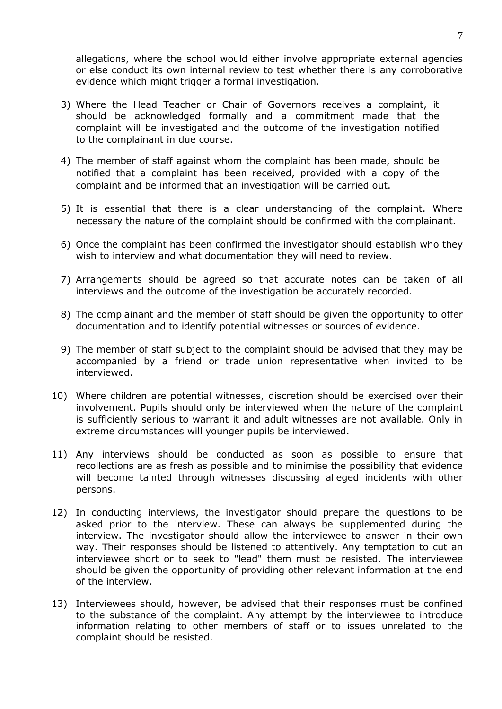allegations, where the school would either involve appropriate external agencies or else conduct its own internal review to test whether there is any corroborative evidence which might trigger a formal investigation.

- 3) Where the Head Teacher or Chair of Governors receives a complaint, it should be acknowledged formally and a commitment made that the complaint will be investigated and the outcome of the investigation notified to the complainant in due course.
- 4) The member of staff against whom the complaint has been made, should be notified that a complaint has been received, provided with a copy of the complaint and be informed that an investigation will be carried out.
- 5) It is essential that there is a clear understanding of the complaint. Where necessary the nature of the complaint should be confirmed with the complainant.
- 6) Once the complaint has been confirmed the investigator should establish who they wish to interview and what documentation they will need to review.
- 7) Arrangements should be agreed so that accurate notes can be taken of all interviews and the outcome of the investigation be accurately recorded.
- 8) The complainant and the member of staff should be given the opportunity to offer documentation and to identify potential witnesses or sources of evidence.
- 9) The member of staff subject to the complaint should be advised that they may be accompanied by a friend or trade union representative when invited to be interviewed.
- 10) Where children are potential witnesses, discretion should be exercised over their involvement. Pupils should only be interviewed when the nature of the complaint is sufficiently serious to warrant it and adult witnesses are not available. Only in extreme circumstances will younger pupils be interviewed.
- 11) Any interviews should be conducted as soon as possible to ensure that recollections are as fresh as possible and to minimise the possibility that evidence will become tainted through witnesses discussing alleged incidents with other persons.
- 12) In conducting interviews, the investigator should prepare the questions to be asked prior to the interview. These can always be supplemented during the interview. The investigator should allow the interviewee to answer in their own way. Their responses should be listened to attentively. Any temptation to cut an interviewee short or to seek to "lead" them must be resisted. The interviewee should be given the opportunity of providing other relevant information at the end of the interview.
- 13) Interviewees should, however, be advised that their responses must be confined to the substance of the complaint. Any attempt by the interviewee to introduce information relating to other members of staff or to issues unrelated to the complaint should be resisted.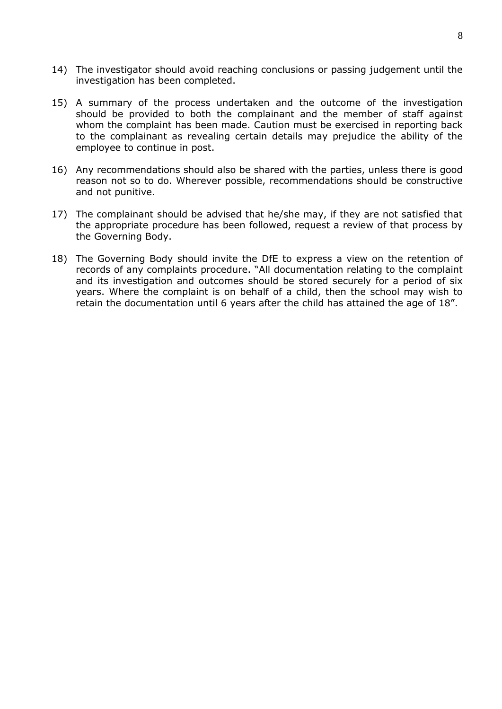- 14) The investigator should avoid reaching conclusions or passing judgement until the investigation has been completed.
- 15) A summary of the process undertaken and the outcome of the investigation should be provided to both the complainant and the member of staff against whom the complaint has been made. Caution must be exercised in reporting back to the complainant as revealing certain details may prejudice the ability of the employee to continue in post.
- 16) Any recommendations should also be shared with the parties, unless there is good reason not so to do. Wherever possible, recommendations should be constructive and not punitive.
- 17) The complainant should be advised that he/she may, if they are not satisfied that the appropriate procedure has been followed, request a review of that process by the Governing Body.
- 18) The Governing Body should invite the DfE to express a view on the retention of records of any complaints procedure. "All documentation relating to the complaint and its investigation and outcomes should be stored securely for a period of six years. Where the complaint is on behalf of a child, then the school may wish to retain the documentation until 6 years after the child has attained the age of 18".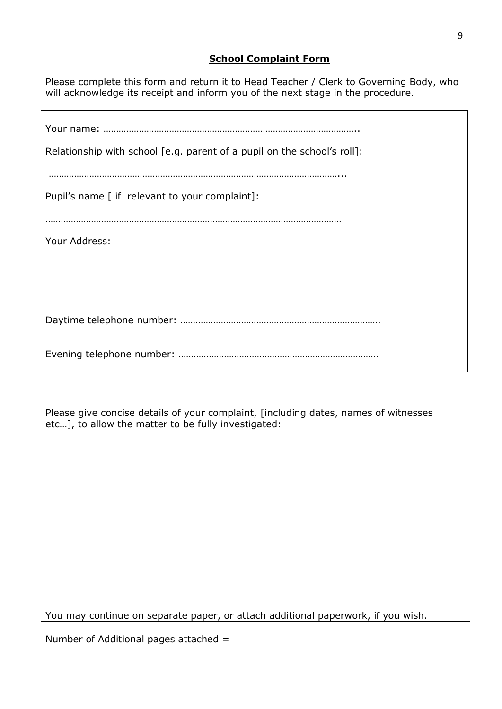## **School Complaint Form**

Please complete this form and return it to Head Teacher / Clerk to Governing Body, who will acknowledge its receipt and inform you of the next stage in the procedure.

| Relationship with school [e.g. parent of a pupil on the school's roll]: |
|-------------------------------------------------------------------------|
| Pupil's name [ if relevant to your complaint]:                          |
| Your Address:                                                           |
|                                                                         |
|                                                                         |
|                                                                         |

Please give concise details of your complaint, [including dates, names of witnesses etc…], to allow the matter to be fully investigated:

You may continue on separate paper, or attach additional paperwork, if you wish.

Number of Additional pages attached =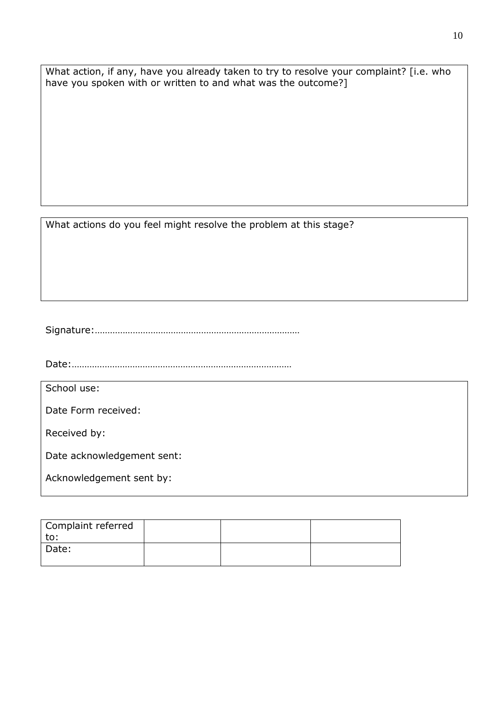What action, if any, have you already taken to try to resolve your complaint? [i.e. who have you spoken with or written to and what was the outcome?]

What actions do you feel might resolve the problem at this stage?

Signature:………………………………………………………………………

Date:……………………………………………………………………………

School use:

Date Form received:

Received by:

Date acknowledgement sent:

Acknowledgement sent by:

| Complaint referred |  |  |
|--------------------|--|--|
| to:                |  |  |
| Date:              |  |  |
|                    |  |  |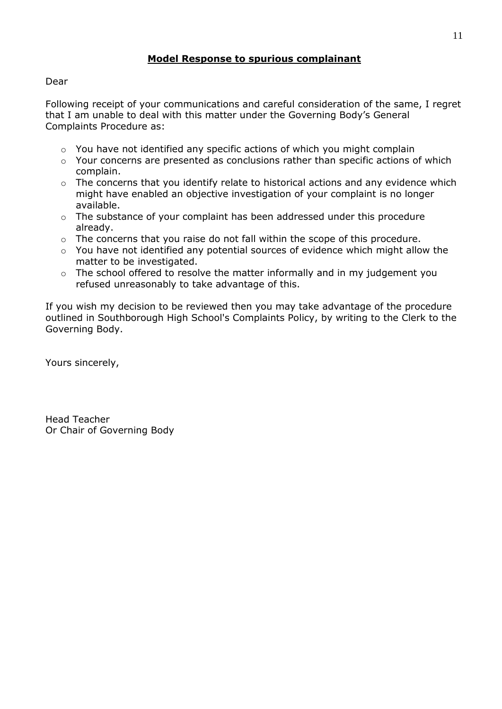### **Model Response to spurious complainant**

#### Dear

Following receipt of your communications and careful consideration of the same, I regret that I am unable to deal with this matter under the Governing Body's General Complaints Procedure as:

- $\circ$  You have not identified any specific actions of which you might complain
- o Your concerns are presented as conclusions rather than specific actions of which complain.
- o The concerns that you identify relate to historical actions and any evidence which might have enabled an objective investigation of your complaint is no longer available.
- o The substance of your complaint has been addressed under this procedure already.
- o The concerns that you raise do not fall within the scope of this procedure.
- o You have not identified any potential sources of evidence which might allow the matter to be investigated.
- o The school offered to resolve the matter informally and in my judgement you refused unreasonably to take advantage of this.

If you wish my decision to be reviewed then you may take advantage of the procedure outlined in Southborough High School's Complaints Policy, by writing to the Clerk to the Governing Body.

Yours sincerely,

Head Teacher Or Chair of Governing Body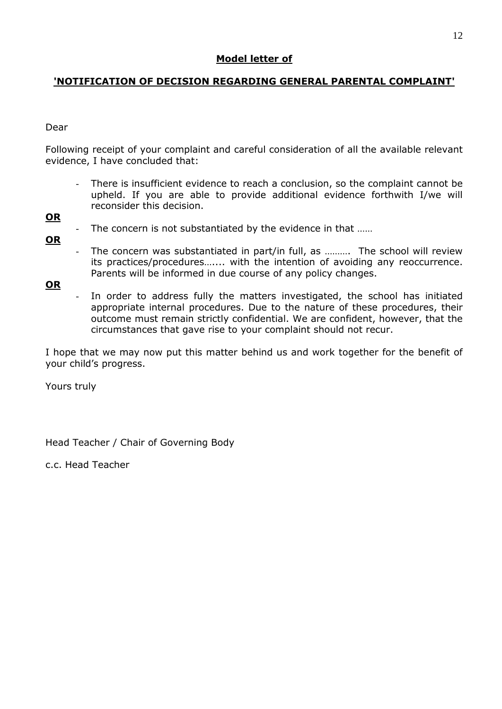# **Model letter of**

# **'NOTIFICATION OF DECISION REGARDING GENERAL PARENTAL COMPLAINT'**

### Dear

Following receipt of your complaint and careful consideration of all the available relevant evidence, I have concluded that:

There is insufficient evidence to reach a conclusion, so the complaint cannot be upheld. If you are able to provide additional evidence forthwith I/we will reconsider this decision.

### **OR**

- The concern is not substantiated by the evidence in that ......
- **OR**
- The concern was substantiated in part/in full, as .......... The school will review its practices/procedures….... with the intention of avoiding any reoccurrence. Parents will be informed in due course of any policy changes.

**OR**

In order to address fully the matters investigated, the school has initiated appropriate internal procedures. Due to the nature of these procedures, their outcome must remain strictly confidential. We are confident, however, that the circumstances that gave rise to your complaint should not recur.

I hope that we may now put this matter behind us and work together for the benefit of your child's progress.

Yours truly

Head Teacher / Chair of Governing Body

c.c. Head Teacher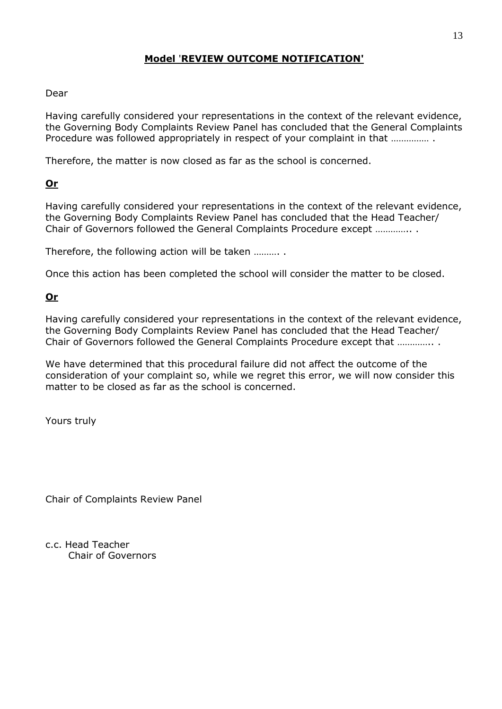## **Model** '**REVIEW OUTCOME NOTIFICATION'**

### Dear

Having carefully considered your representations in the context of the relevant evidence, the Governing Body Complaints Review Panel has concluded that the General Complaints Procedure was followed appropriately in respect of your complaint in that …………… .

Therefore, the matter is now closed as far as the school is concerned.

# **Or**

Having carefully considered your representations in the context of the relevant evidence, the Governing Body Complaints Review Panel has concluded that the Head Teacher/ Chair of Governors followed the General Complaints Procedure except ………….. .

Therefore, the following action will be taken ………. .

Once this action has been completed the school will consider the matter to be closed.

### **Or**

Having carefully considered your representations in the context of the relevant evidence, the Governing Body Complaints Review Panel has concluded that the Head Teacher/ Chair of Governors followed the General Complaints Procedure except that ………….. .

We have determined that this procedural failure did not affect the outcome of the consideration of your complaint so, while we regret this error, we will now consider this matter to be closed as far as the school is concerned.

Yours truly

Chair of Complaints Review Panel

c.c. Head Teacher Chair of Governors